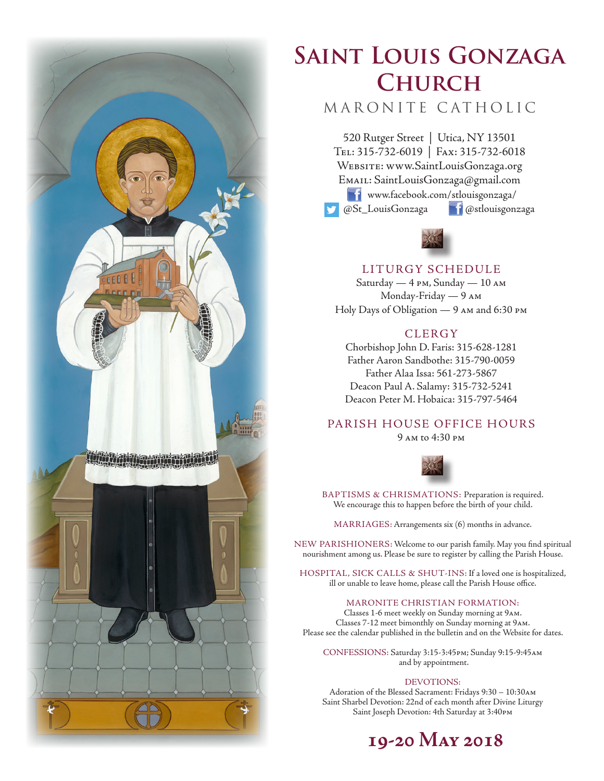

# **Saint Louis Gonzaga Church**

# MARONITE CATHOLIC

520 Rutger Street | Utica, NY 13501 Tel: 315-732-6019 | Fax: 315-732-6018 Website: www.SaintLouisGonzaga.org Email: SaintLouisGonzaga@gmail.com **T1** www.facebook.com/stlouisgonzaga/ @St\_LouisGonzaga @stlouisgonzaga



# LITURGY SCHEDULE

Saturday — 4 pm, Sunday — 10 am Monday-Friday — 9 am Holy Days of Obligation — 9 am and 6:30 pm

# **CLERGY**

Chorbishop John D. Faris: 315-628-1281 Father Aaron Sandbothe: 315-790-0059 Father Alaa Issa: 561-273-5867 Deacon Paul A. Salamy: 315-732-5241 Deacon Peter M. Hobaica: 315-797-5464

# PARISH HOUSE OFFICE HOURS

9 am to 4:30 pm



BAPTISMS & CHRISMATIONS: Preparation is required. We encourage this to happen before the birth of your child.

MARRIAGES: Arrangements six (6) months in advance.

NEW PARISHIONERS: Welcome to our parish family. May you find spiritual nourishment among us. Please be sure to register by calling the Parish House.

HOSPITAL, SICK CALLS & SHUT-INS: If a loved one is hospitalized, ill or unable to leave home, please call the Parish House office.

#### MARONITE CHRISTIAN FORMATION:

Classes 1-6 meet weekly on Sunday morning at 9am. Classes 7-12 meet bimonthly on Sunday morning at 9am. Please see the calendar published in the bulletin and on the Website for dates.

CONFESSIONS: Saturday 3:15-3:45pm; Sunday 9:15-9:45am and by appointment.

#### DEVOTIONS:

Adoration of the Blessed Sacrament: Fridays 9:30 – 10:30am Saint Sharbel Devotion: 22nd of each month after Divine Liturgy Saint Joseph Devotion: 4th Saturday at 3:40pm

# **19-20 May 2018**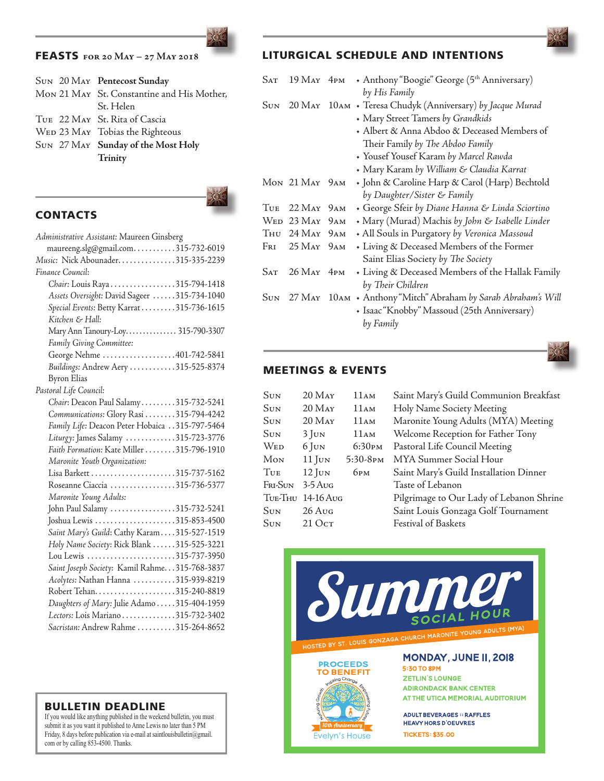If you would like anything published in the weekend bulletin, you must submit it as you want it published to Anne Lewis no later than 5 PM Friday, 8 days before publication via e-mail at saintlouisbulletin@gmail. com or by calling 853-4500. Thanks.

#### FEASTS **for 20 May – 27 May 2018**

|  | SUN 20 MAY Pentecost Sunday                |
|--|--------------------------------------------|
|  | Mon 21 May St. Constantine and His Mother, |
|  | St. Helen                                  |
|  | TUE 22 MAY St. Rita of Cascia              |
|  | WED 23 MAY Tobias the Righteous            |
|  | SUN 27 MAY Sunday of the Most Holy         |
|  | Trinity                                    |
|  |                                            |

**CONTACTS** 



| Administrative Assistant: Maureen Ginsberg      |
|-------------------------------------------------|
| maureeng.slg@gmail.com315-732-6019              |
| Music: Nick Abounader315-335-2239               |
| Finance Council:                                |
| Chair: Louis Raya 315-794-1418                  |
| Assets Oversight: David Sageer 315-734-1040     |
| Special Events: Betty Karrat315-736-1615        |
| Kitchen & Hall:                                 |
| Mary Ann Tanoury-Loy 315-790-3307               |
| Family Giving Committee:                        |
| George Nehme 401-742-5841                       |
| Buildings: Andrew Aery 315-525-8374             |
| <b>Byron Elias</b>                              |
| Pastoral Life Council:                          |
| Chair: Deacon Paul Salamy315-732-5241           |
| Communications: Glory Rasi 315-794-4242         |
| Family Life: Deacon Peter Hobaica 315-797-5464  |
| Liturgy: James Salamy 315-723-3776              |
| Faith Formation: Kate Miller 315-796-1910       |
| Maronite Youth Organization:                    |
|                                                 |
| Roseanne Ciaccia 315-736-5377                   |
| Maronite Young Adults:                          |
| John Paul Salamy 315-732-5241                   |
| Joshua Lewis 315-853-4500                       |
| Saint Mary's Guild: Cathy Karam315-527-1519     |
| Holy Name Society: Rick Blank 315-525-3221      |
| Lou Lewis 315-737-3950                          |
| Saint Joseph Society: Kamil Rahme. 315-768-3837 |
| Acolytes: Nathan Hanna 315-939-8219             |
|                                                 |
| Daughters of Mary: Julie Adamo 315-404-1959     |
| Lectors: Lois Mariano315-732-3402               |
| Sacristan: Andrew Rahme 315-264-8652            |

# LITURGICAL SCHEDULE AND INTENTIONS

| Sat        | 19 May 4pm                 | + Anthony "Boogie" George (5th Anniversary)                   |
|------------|----------------------------|---------------------------------------------------------------|
|            |                            | by His Family                                                 |
| <b>SUN</b> |                            | 20 MAY 10AM + Teresa Chudyk (Anniversary) by Jacque Murad     |
|            |                            | + Mary Street Tamers by Grandkids                             |
|            |                            | + Albert & Anna Abdoo & Deceased Members of                   |
|            |                            | Their Family by The Abdoo Family                              |
|            |                            | • Yousef Yousef Karam by Marcel Rawda                         |
|            |                            | • Mary Karam by William & Claudia Karrat                      |
|            | MON 21 MAY 9AM             | · John & Caroline Harp & Carol (Harp) Bechtold                |
|            |                            | by Daughter/Sister & Family                                   |
| <b>TUE</b> | $22$ May $9AM$             | + George Sfeir by Diane Hanna & Linda Sciortino               |
|            | WED 23 MAY 9AM             | + Mary (Murad) Machis by John & Isabelle Linder               |
|            | Thu 24 May 9am             | + All Souls in Purgatory by Veronica Massoud                  |
|            | Fri 25 May 9 am            | + Living & Deceased Members of the Former                     |
|            |                            | Saint Elias Society by The Society                            |
| Sat        | $26$ May $4$ <sub>PM</sub> | • Living & Deceased Members of the Hallak Family              |
|            |                            | by Their Children                                             |
| <b>SUN</b> |                            | 27 МАҮ 10Ам • Anthony "Mitch" Abraham by Sarah Abraham's Will |
|            |                            | · Isaac "Knobby" Massoud (25th Anniversary)                   |
|            |                            | by Family                                                     |
|            |                            |                                                               |

# MEETINGS & EVENTS

| Sun     | $20$ M <sub>AY</sub> | 11AM                 | Saint Mary's Guild Communion Breakfast   |
|---------|----------------------|----------------------|------------------------------------------|
| Sun     | $20$ M <sub>AY</sub> | 11AM                 | Holy Name Society Meeting                |
| Sun     | $20$ M <sub>AY</sub> | 11AM                 | Maronite Young Adults (MYA) Meeting      |
| Sun     | $3$ Jun              | 11AM                 | Welcome Reception for Father Tony        |
| Wed     | $6$ Jun              | 6:30 <sub>PM</sub>   | Pastoral Life Council Meeting            |
| Мом     | $11$ JUN             | 5:30-8 <sub>PM</sub> | MYA Summer Social Hour                   |
| Tue     | $12$ JUN             | 6рм                  | Saint Mary's Guild Installation Dinner   |
| Fri-Sun | $3-5$ Aug            |                      | Taste of Lebanon                         |
|         | TUE-THU 14-16 AUG    |                      | Pilgrimage to Our Lady of Lebanon Shrine |
| Sun     | $26$ Aug             |                      | Saint Louis Gonzaga Golf Tournament      |
| Sun     | 210cr                |                      | <b>Festival of Baskets</b>               |